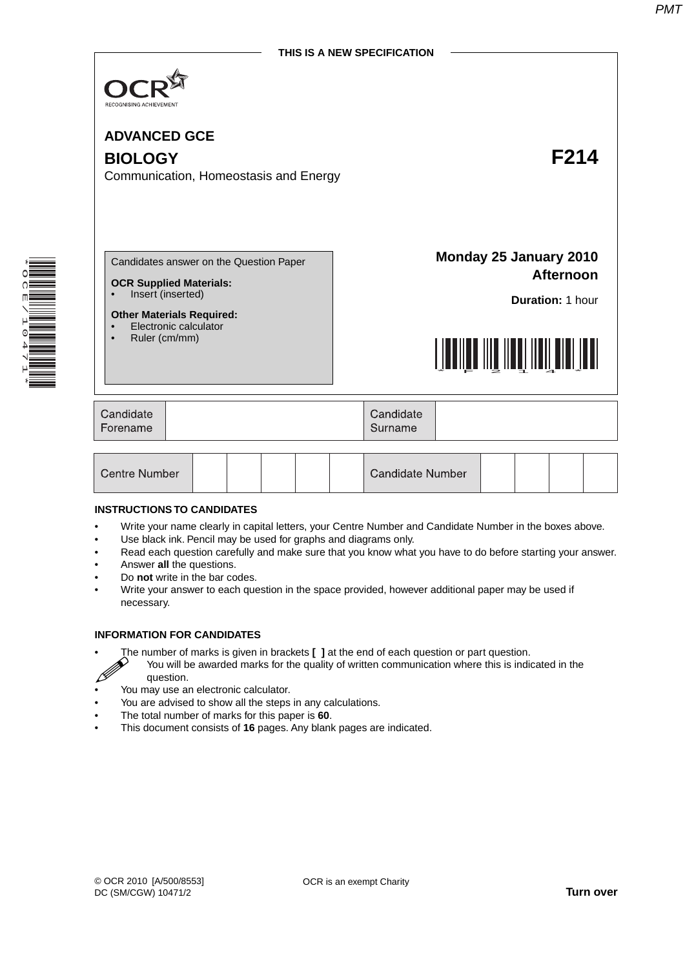

**ADVANCED GCE BIOLOGY F214** Communication, Homeostasis and Energy

\* O<br>N E  $\overline{\phantom{0}}$  $\overline{a}$ 0 4  $\overline{a}$ 1 \* Candidates answer on the Question Paper

- **OCR Supplied Materials:**
- Insert (inserted)

#### **Other Materials Required:**

- Electronic calculator
- Ruler (cm/mm)

**Monday 25 January 2010 Afternoon**

**Duration:** 1 hour



| Candidate<br>Forename<br>Surname | Candidate |  |
|----------------------------------|-----------|--|
|----------------------------------|-----------|--|

| Centre Number |  |  |  |  |  | Candidate Number |  |  |  |  |  |
|---------------|--|--|--|--|--|------------------|--|--|--|--|--|
|---------------|--|--|--|--|--|------------------|--|--|--|--|--|

#### **INSTRUCTIONS TO CANDIDATES**

- Write your name clearly in capital letters, your Centre Number and Candidate Number in the boxes above.
- Use black ink. Pencil may be used for graphs and diagrams only.
- Read each question carefully and make sure that you know what you have to do before starting your answer.
- Answer **all** the questions.
- Do **not** write in the bar codes.
- Write your answer to each question in the space provided, however additional paper may be used if necessary.

## **INFORMATION FOR CANDIDATES**

- The number of marks is given in brackets **[ ]** at the end of each question or part question.
	- You will be awarded marks for the quality of written communication where this is indicated in the question.
- You may use an electronic calculator.
- You are advised to show all the steps in any calculations.
- The total number of marks for this paper is **60**.
- This document consists of **16** pages. Any blank pages are indicated.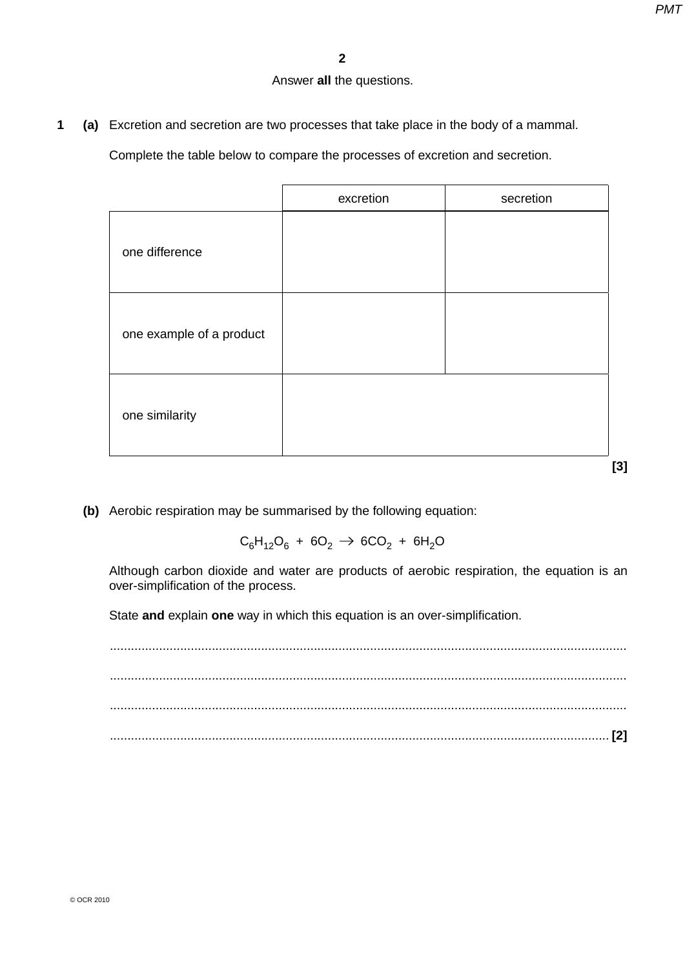# Answer **all** the questions.

**1 (a)** Excretion and secretion are two processes that take place in the body of a mammal.

Complete the table below to compare the processes of excretion and secretion.

|                          | excretion | secretion |
|--------------------------|-----------|-----------|
| one difference           |           |           |
| one example of a product |           |           |
| one similarity           |           |           |
|                          |           | $[3]$     |

 **(b)** Aerobic respiration may be summarised by the following equation:

 $C_6H_{12}O_6 + 6O_2 \rightarrow 6CO_2 + 6H_2O$ 

Although carbon dioxide and water are products of aerobic respiration, the equation is an over-simplification of the process.

State **and** explain **one** way in which this equation is an over-simplification.

 ................................................................................................................................................... ................................................................................................................................................... ................................................................................................................................................... .............................................................................................................................................. **[2]**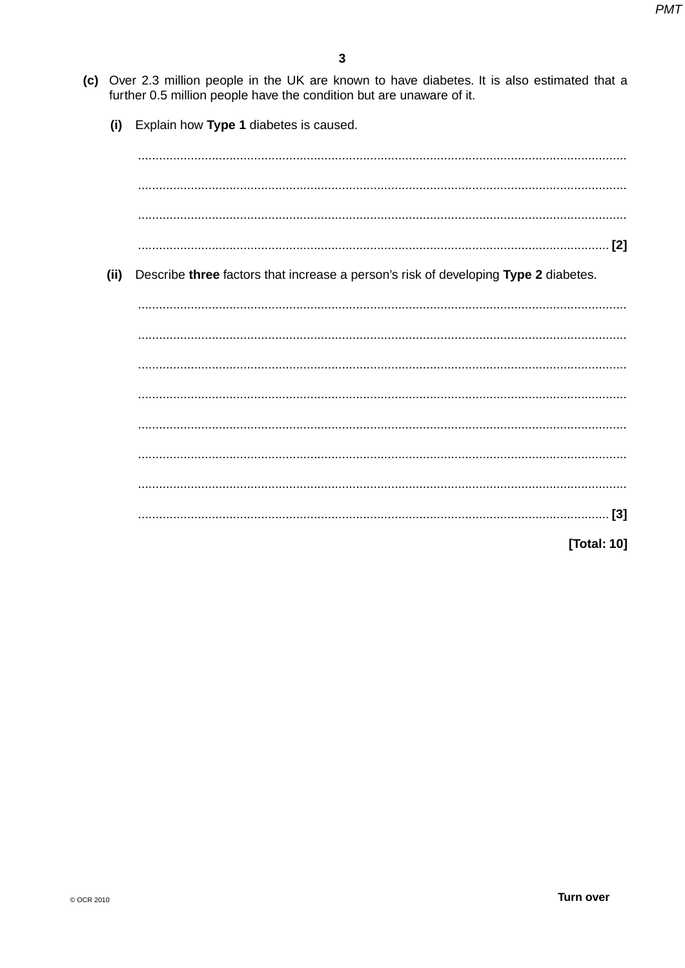- (c) Over 2.3 million people in the UK are known to have diabetes. It is also estimated that a further 0.5 million people have the condition but are unaware of it.
	- $(i)$ Explain how Type 1 diabetes is caused.

 $(ii)$ Describe three factors that increase a person's risk of developing Type 2 diabetes. [Total: 10]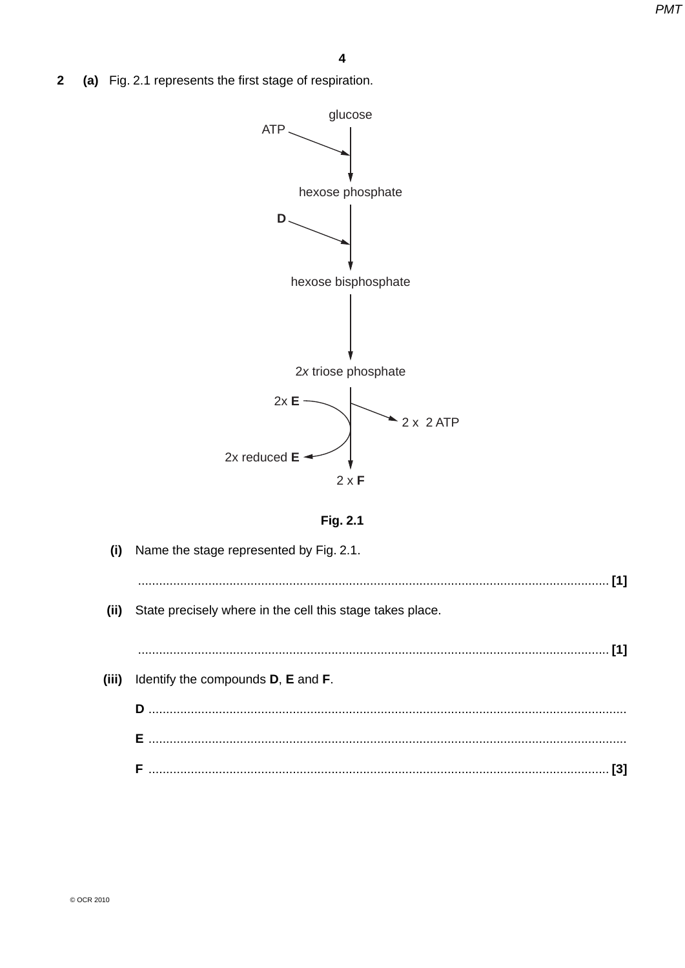(a) Fig. 2.1 represents the first stage of respiration.  $\overline{\mathbf{2}}$ 



Fig. 2.1

| (i)   | Name the stage represented by Fig. 2.1.                   |  |
|-------|-----------------------------------------------------------|--|
|       |                                                           |  |
| (ii)  | State precisely where in the cell this stage takes place. |  |
|       |                                                           |  |
|       |                                                           |  |
| (iii) | Identify the compounds <b>D</b> , <b>E</b> and <b>F</b> . |  |
|       |                                                           |  |
|       |                                                           |  |
|       |                                                           |  |
|       |                                                           |  |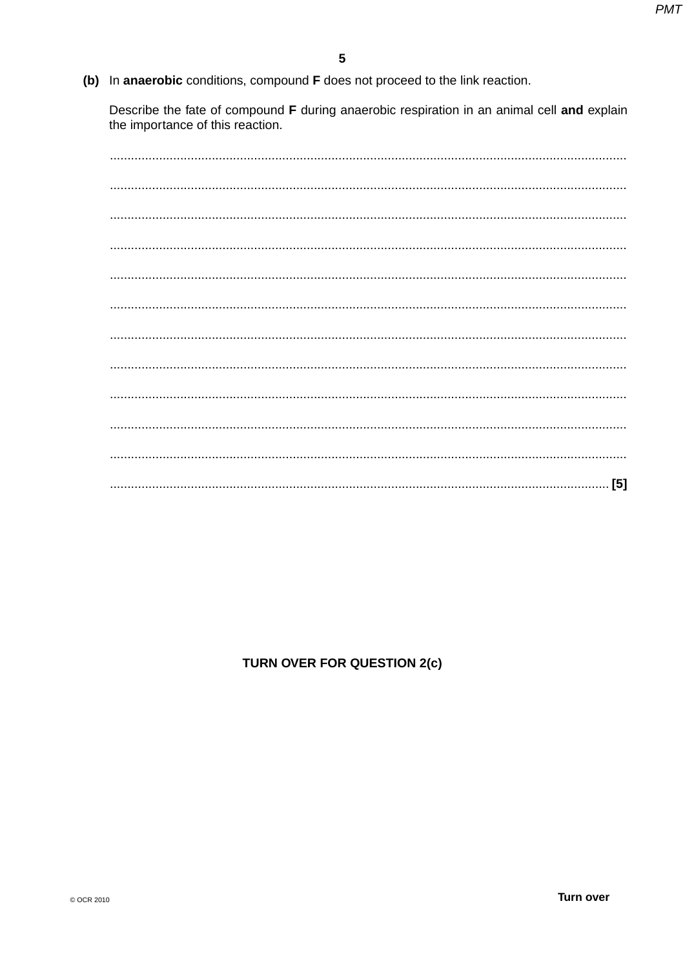(b) In anaerobic conditions, compound F does not proceed to the link reaction.

Describe the fate of compound F during anaerobic respiration in an animal cell and explain the importance of this reaction.

| [5] |
|-----|

# TURN OVER FOR QUESTION 2(c)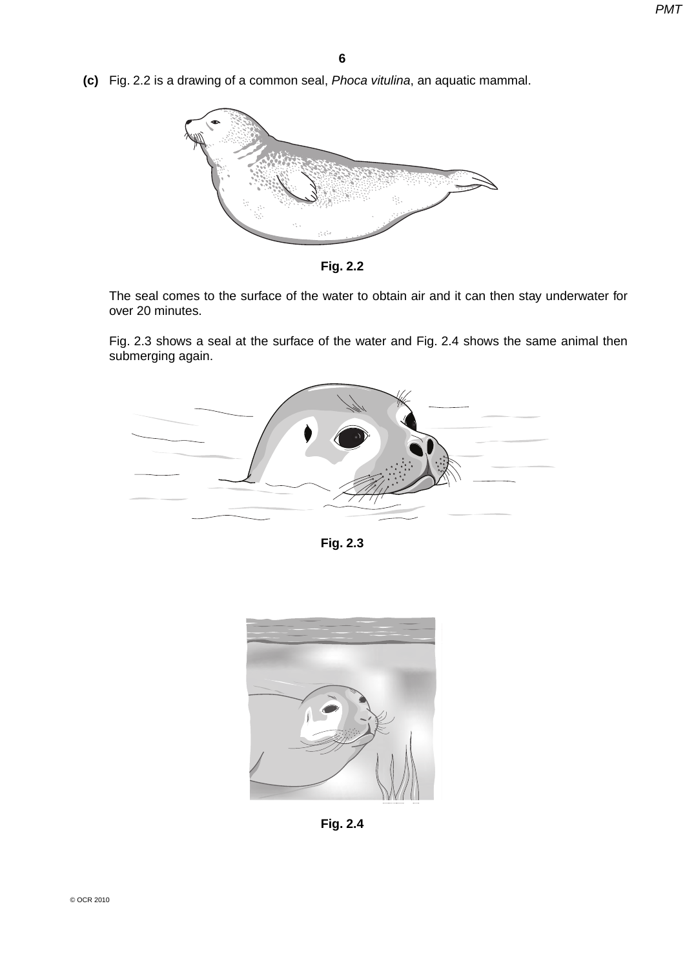**(c)** Fig. 2.2 is a drawing of a common seal, *Phoca vitulina*, an aquatic mammal.





The seal comes to the surface of the water to obtain air and it can then stay underwater for over 20 minutes.

 Fig. 2.3 shows a seal at the surface of the water and Fig. 2.4 shows the same animal then submerging again.



**Fig. 2.3**



**Fig. 2.4**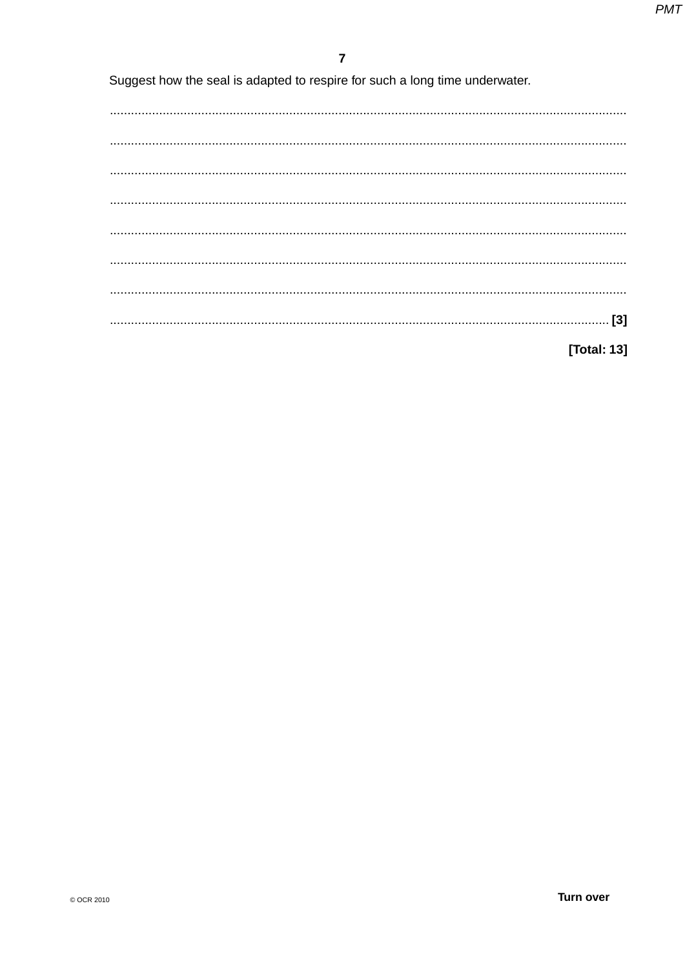Suggest how the seal is adapted to respire for such a long time underwater.

[Total: 13]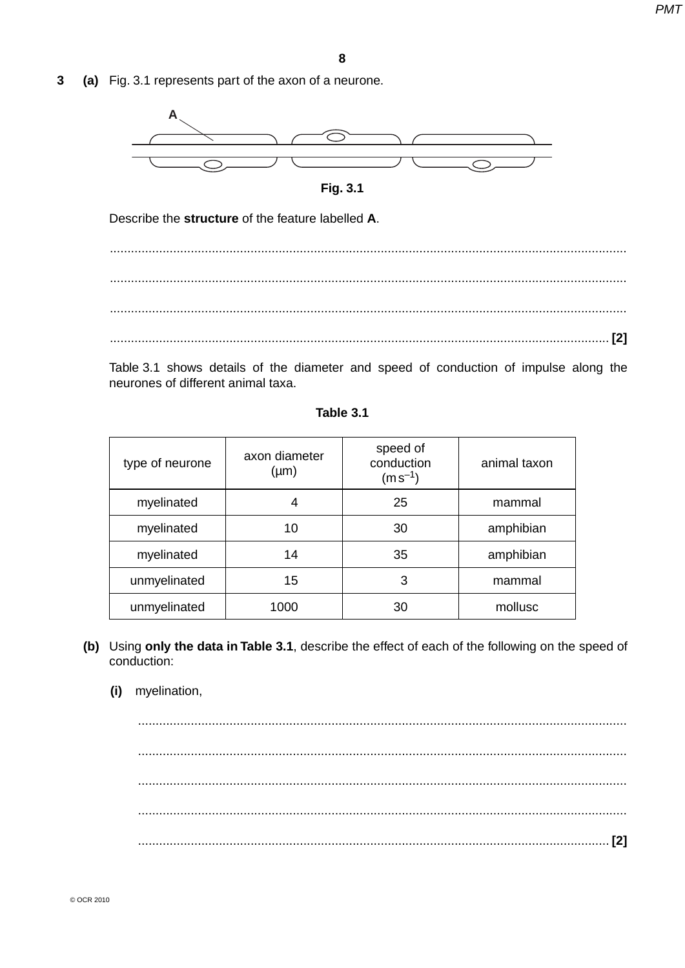$\overline{3}$ (a) Fig. 3.1 represents part of the axon of a neurone.





Describe the structure of the feature labelled A.

Table 3.1 shows details of the diameter and speed of conduction of impulse along the neurones of different animal taxa.

Table 3.1

| type of neurone | axon diameter<br>$(\mu m)$ | speed of<br>conduction<br>$(m s^{-1})$ | animal taxon |
|-----------------|----------------------------|----------------------------------------|--------------|
| myelinated      | 4                          | 25                                     | mammal       |
| myelinated      | 10                         | 30                                     | amphibian    |
| myelinated      | 14                         | 35                                     | amphibian    |
| unmyelinated    | 15                         | 3                                      | mammal       |
| unmyelinated    | 1000                       | 30                                     | mollusc      |

- (b) Using only the data in Table 3.1, describe the effect of each of the following on the speed of conduction:
	- myelination,  $(i)$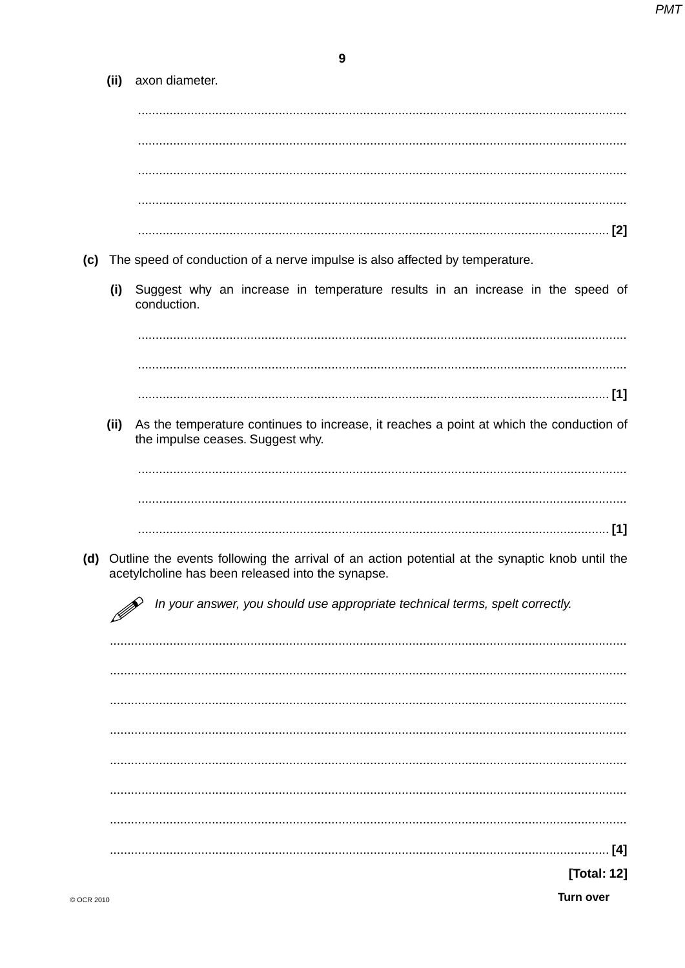$\mathbf{9}$ 

|     | (ii) | axon diameter.                                                                                                                                      |
|-----|------|-----------------------------------------------------------------------------------------------------------------------------------------------------|
|     |      |                                                                                                                                                     |
|     |      |                                                                                                                                                     |
|     |      |                                                                                                                                                     |
|     |      |                                                                                                                                                     |
|     |      |                                                                                                                                                     |
|     |      |                                                                                                                                                     |
|     |      |                                                                                                                                                     |
| (c) |      | The speed of conduction of a nerve impulse is also affected by temperature.                                                                         |
|     |      | Suggest why an increase in temperature results in an increase in the speed of                                                                       |
|     | (i)  | conduction.                                                                                                                                         |
|     |      |                                                                                                                                                     |
|     |      |                                                                                                                                                     |
|     |      |                                                                                                                                                     |
|     |      |                                                                                                                                                     |
|     | (ii) | As the temperature continues to increase, it reaches a point at which the conduction of<br>the impulse ceases. Suggest why.                         |
|     |      |                                                                                                                                                     |
|     |      |                                                                                                                                                     |
|     |      |                                                                                                                                                     |
|     |      |                                                                                                                                                     |
| (d) |      | Outline the events following the arrival of an action potential at the synaptic knob until the<br>acetylcholine has been released into the synapse. |
|     |      | In your answer, you should use appropriate technical terms, spelt correctly.                                                                        |
|     |      |                                                                                                                                                     |
|     |      |                                                                                                                                                     |
|     |      |                                                                                                                                                     |
|     |      |                                                                                                                                                     |
|     |      |                                                                                                                                                     |
|     |      |                                                                                                                                                     |
|     |      |                                                                                                                                                     |
|     |      |                                                                                                                                                     |
|     |      |                                                                                                                                                     |
|     |      |                                                                                                                                                     |
|     |      |                                                                                                                                                     |
|     |      | . [4]                                                                                                                                               |
|     |      | [Total: 12]                                                                                                                                         |
|     |      |                                                                                                                                                     |

Turn over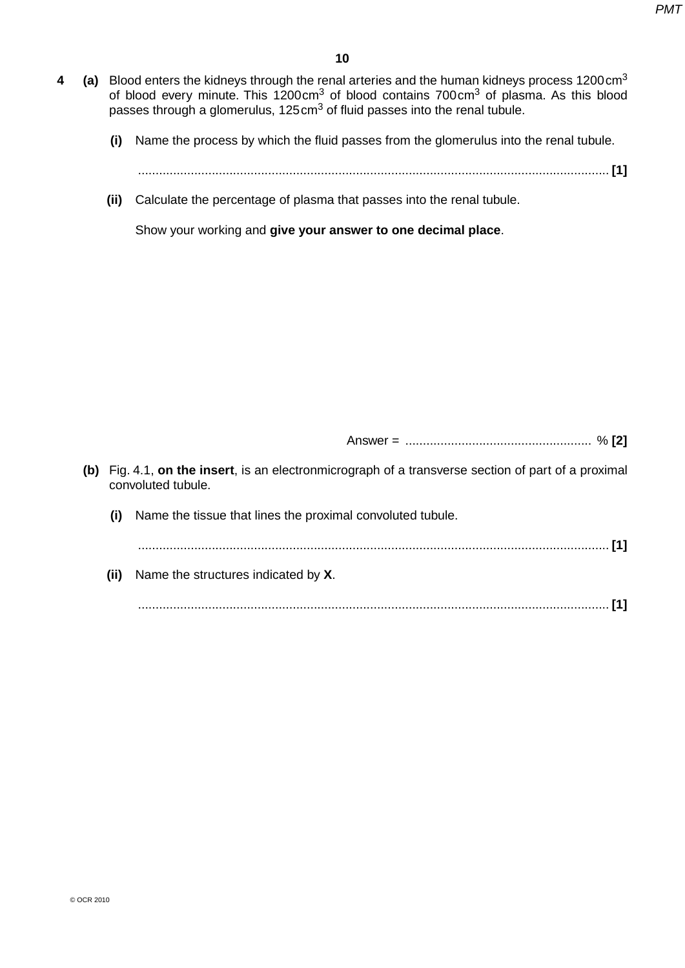- **4 (a)** Blood enters the kidneys through the renal arteries and the human kidneys process 1200cm3 of blood every minute. This 1200cm3 of blood contains 700cm3 of plasma. As this blood passes through a glomerulus, 125cm<sup>3</sup> of fluid passes into the renal tubule.
	- **(i)** Name the process by which the fluid passes from the glomerulus into the renal tubule.
		- ...................................................................................................................................... **[1]**
	- **(ii)** Calculate the percentage of plasma that passes into the renal tubule.

Show your working and **give your answer to one decimal place**.

Answer = ..................................................... % **[2]**

- **(b)** Fig. 4.1, **on the insert**, is an electronmicrograph of a transverse section of part of a proximal convoluted tubule.
	- **(i)** Name the tissue that lines the proximal convoluted tubule.

...................................................................................................................................... **[1]**

 **(ii)** Name the structures indicated by **X**.

...................................................................................................................................... **[1]**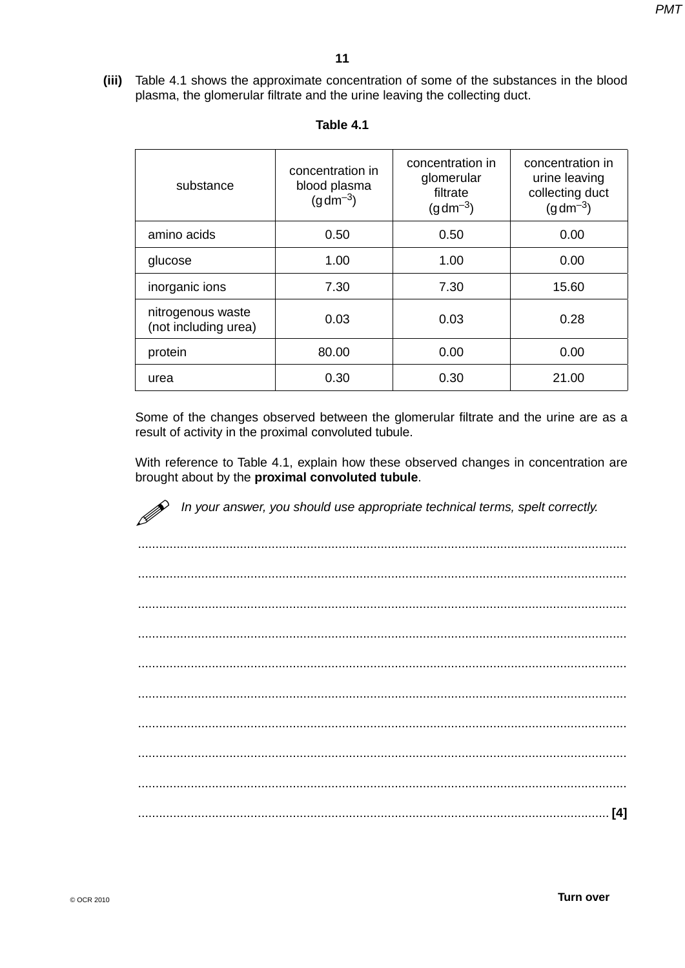**(iii)** Table 4.1 shows the approximate concentration of some of the substances in the blood plasma, the glomerular filtrate and the urine leaving the collecting duct.

| substance                                 | concentration in<br>blood plasma<br>$(g dm^{-3})$ | concentration in<br>glomerular<br>filtrate<br>$(g dm^{-3})$ | concentration in<br>urine leaving<br>collecting duct<br>$(g dm^{-3})$ |
|-------------------------------------------|---------------------------------------------------|-------------------------------------------------------------|-----------------------------------------------------------------------|
| amino acids                               | 0.50                                              | 0.50                                                        | 0.00                                                                  |
| glucose                                   | 1.00                                              | 1.00                                                        | 0.00                                                                  |
| inorganic ions                            | 7.30                                              | 7.30                                                        | 15.60                                                                 |
| nitrogenous waste<br>(not including urea) | 0.03                                              | 0.03                                                        | 0.28                                                                  |
| protein                                   | 80.00                                             | 0.00                                                        | 0.00                                                                  |
| urea                                      | 0.30                                              | 0.30                                                        | 21.00                                                                 |

 Some of the changes observed between the glomerular filtrate and the urine are as a result of activity in the proximal convoluted tubule.

With reference to Table 4.1, explain how these observed changes in concentration are brought about by the **proximal convoluted tubule**.

*M* In your answer, you should use appropriate technical terms, spelt correctly.

 ........................................................................................................................................... ........................................................................................................................................... ........................................................................................................................................... ........................................................................................................................................... ........................................................................................................................................... ........................................................................................................................................... ........................................................................................................................................... ........................................................................................................................................... ........................................................................................................................................... ...................................................................................................................................... **[4]**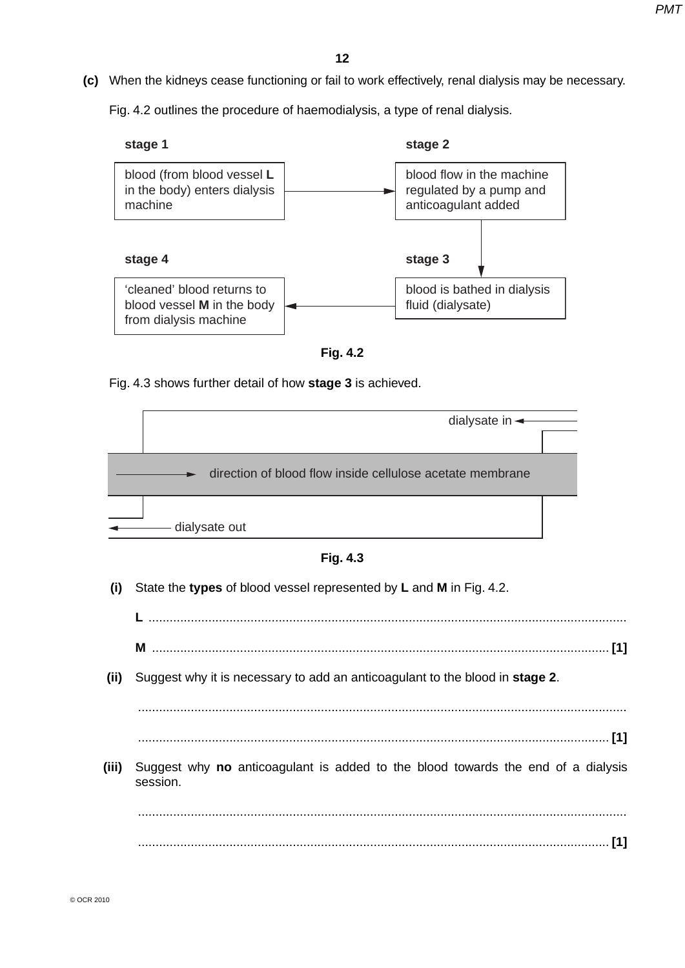**(c)** When the kidneys cease functioning or fail to work effectively, renal dialysis may be necessary.

Fig. 4.2 outlines the procedure of haemodialysis, a type of renal dialysis.





Fig. 4.3 shows further detail of how **stage 3** is achieved.



**Fig. 4.3**

 **(i)** State the **types** of blood vessel represented by **L** and **M** in Fig. 4.2.

**L** ........................................................................................................................................

**M** .................................................................................................................................. **[1]**

 **(ii)** Suggest why it is necessary to add an anticoagulant to the blood in **stage 2**.

...........................................................................................................................................

- ...................................................................................................................................... **[1]**
- **(iii)** Suggest why **no** anticoagulant is added to the blood towards the end of a dialysis session.

 ........................................................................................................................................... ...................................................................................................................................... **[1]**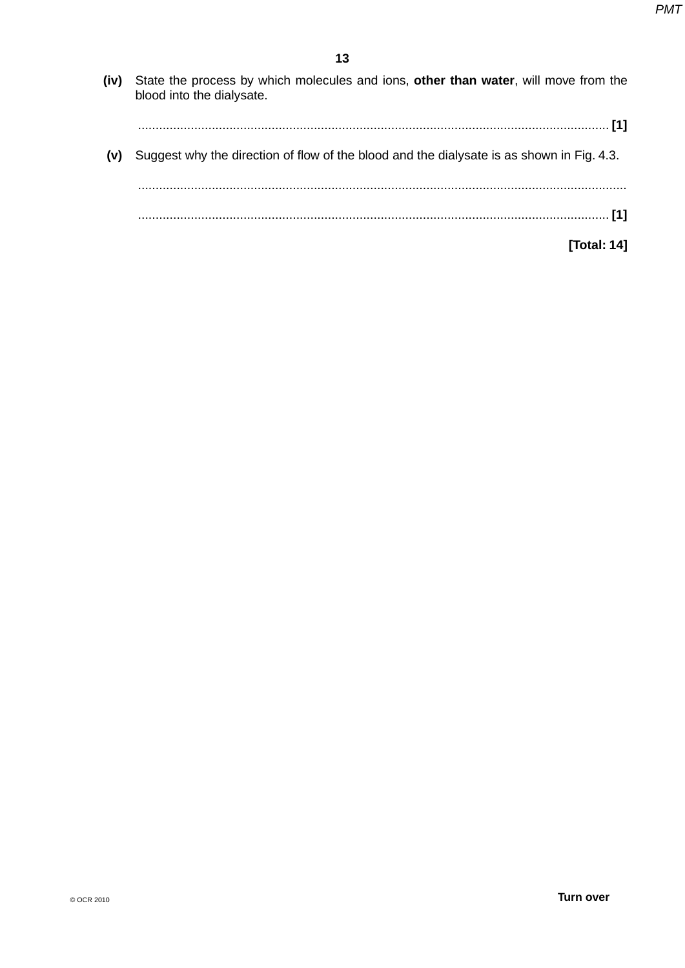| State the process by which molecules and ions, other than water, will move from the<br>blood into the dialysate. | (iv) |
|------------------------------------------------------------------------------------------------------------------|------|
| Suggest why the direction of flow of the blood and the dialysate is as shown in Fig. 4.3.                        | (V)  |
| Total: 141                                                                                                       |      |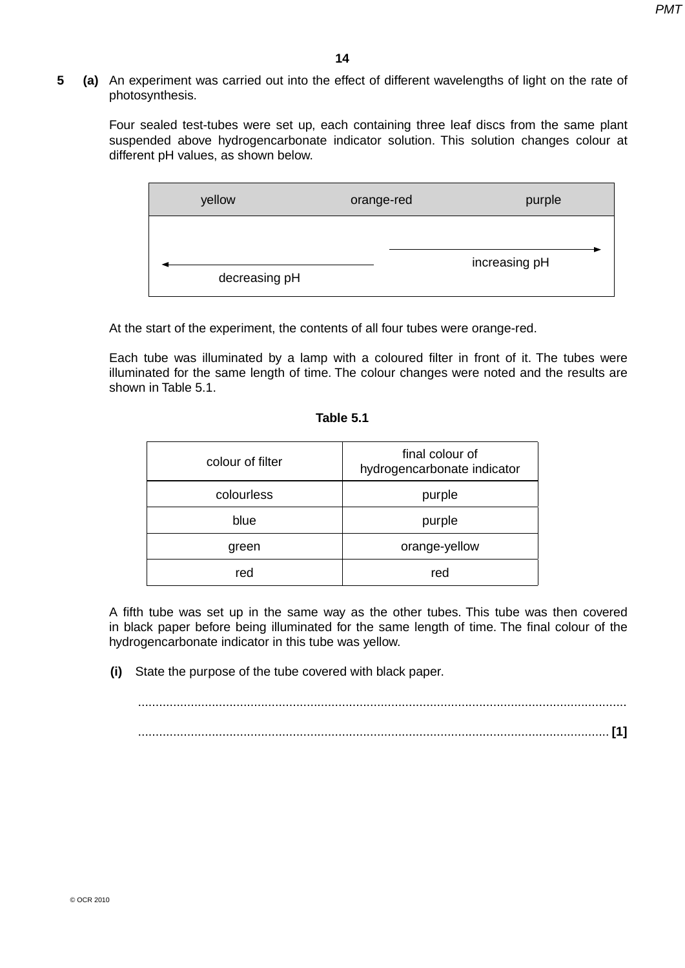**5 (a)** An experiment was carried out into the effect of different wavelengths of light on the rate of photosynthesis.

 Four sealed test-tubes were set up, each containing three leaf discs from the same plant suspended above hydrogencarbonate indicator solution. This solution changes colour at different pH values, as shown below.



At the start of the experiment, the contents of all four tubes were orange-red.

Each tube was illuminated by a lamp with a coloured filter in front of it. The tubes were illuminated for the same length of time. The colour changes were noted and the results are shown in Table 5.1.

| colour of filter | final colour of<br>hydrogencarbonate indicator |
|------------------|------------------------------------------------|
| colourless       | purple                                         |
| blue             | purple                                         |
| green            | orange-yellow                                  |
| red              | red                                            |

### **Table 5.1**

A fifth tube was set up in the same way as the other tubes. This tube was then covered in black paper before being illuminated for the same length of time. The final colour of the hydrogencarbonate indicator in this tube was yellow.

 **(i)** State the purpose of the tube covered with black paper.

 ........................................................................................................................................... ...................................................................................................................................... **[1]**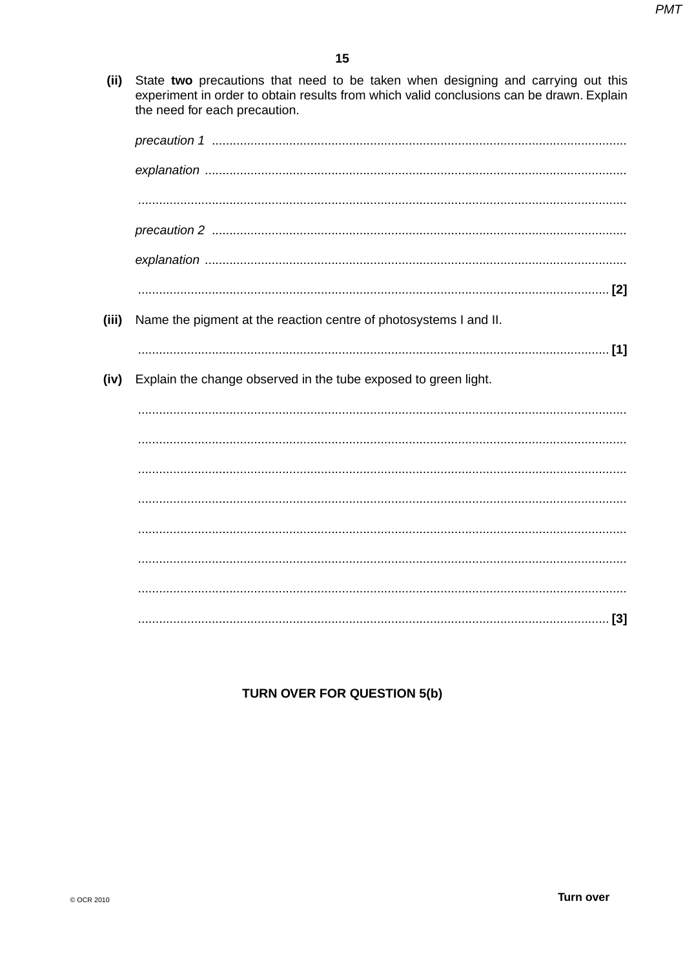(ii) State two precautions that need to be taken when designing and carrying out this experiment in order to obtain results from which valid conclusions can be drawn. Explain the need for each precaution.

| (iii) | Name the pigment at the reaction centre of photosystems I and II. |
|-------|-------------------------------------------------------------------|
|       |                                                                   |
| (iv)  | Explain the change observed in the tube exposed to green light.   |
|       |                                                                   |
|       |                                                                   |
|       |                                                                   |
|       |                                                                   |
|       |                                                                   |
|       |                                                                   |
|       |                                                                   |
|       |                                                                   |

# TURN OVER FOR QUESTION 5(b)